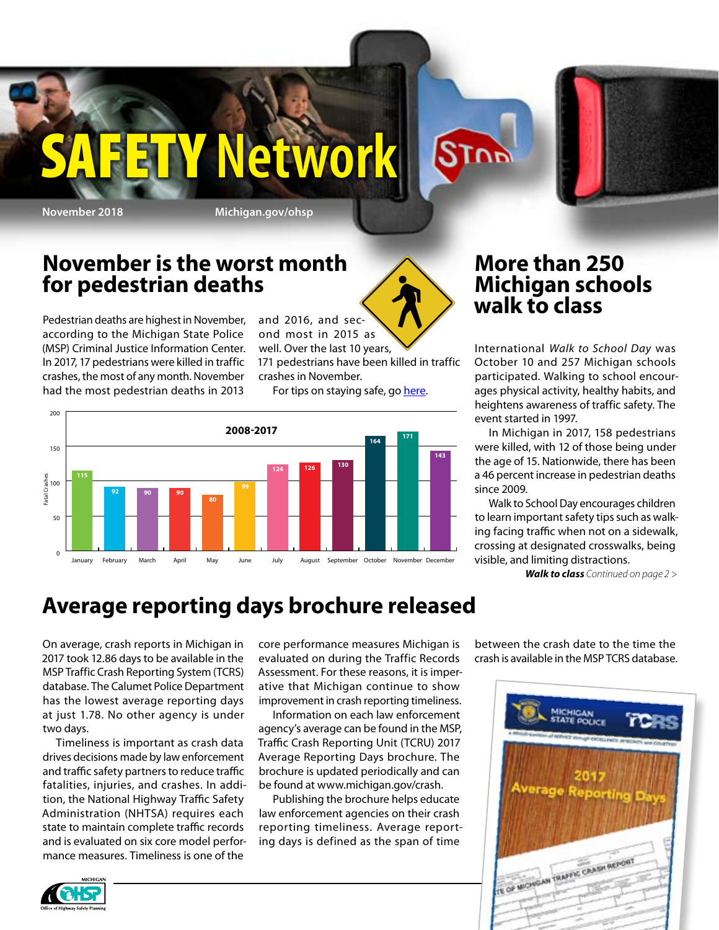### **November is the worst month for pedestrian deaths**

Pedestrian deaths are highest in November, according to the Michigan State Police (MSP) Criminal Justice Information Center. In 2017, 17 pedestrians were killed in traffic crashes, the most of any month. November had the most pedestrian deaths in 2013

and 2016, and second most in 2015 as

**Y Network** 

well. Over the last 10 years, 171 pedestrians have been killed in traffic crashes in November.

For tips on staying safe, go [here.](http://here)



### **More than 250 Michigan schools walk to class**

**STOP** 

International *Walk to School Day* was October 10 and 257 Michigan schools participated. Walking to school encourages physical activity, healthy habits, and heightens awareness of traffic safety. The event started in 1997.

In Michigan in 2017, 158 pedestrians were killed, with 12 of those being under the age of 15. Nationwide, there has been a 46 percent increase in pedestrian deaths since 2009.

Walk to School Day encourages children to learn important safety tips such as walking facing traffic when not on a sidewalk, crossing at designated crosswalks, being visible, and limiting distractions.

*Walk to class Continued on page 2 >*

## **Average reporting days brochure released**

On average, crash reports in Michigan in 2017 took 12.86 days to be available in the MSP Traffic Crash Reporting System (TCRS) database. The Calumet Police Department has the lowest average reporting days at just 1.78. No other agency is under two days.

Timeliness is important as crash data drives decisions made by law enforcement and traffic safety partners to reduce traffic fatalities, injuries, and crashes. In addition, the National Highway Traffic Safety Administration (NHTSA) requires each state to maintain complete traffic records and is evaluated on six core model performance measures. Timeliness is one of the

core performance measures Michigan is evaluated on during the Traffic Records Assessment. For these reasons, it is imperative that Michigan continue to show improvement in crash reporting timeliness.

Information on each law enforcement agency's average can be found in the MSP, Traffic Crash Reporting Unit (TCRU) 2017 Average Reporting Days brochure. The brochure is updated periodically and can be found at [www.michigan.gov/crash.](http://www.michigan.gov/crash)

Publishing the brochure helps educate law enforcement agencies on their crash reporting timeliness. Average reporting days is defined as the span of time

between the crash date to the time the crash is available in the MSP TCRS database.



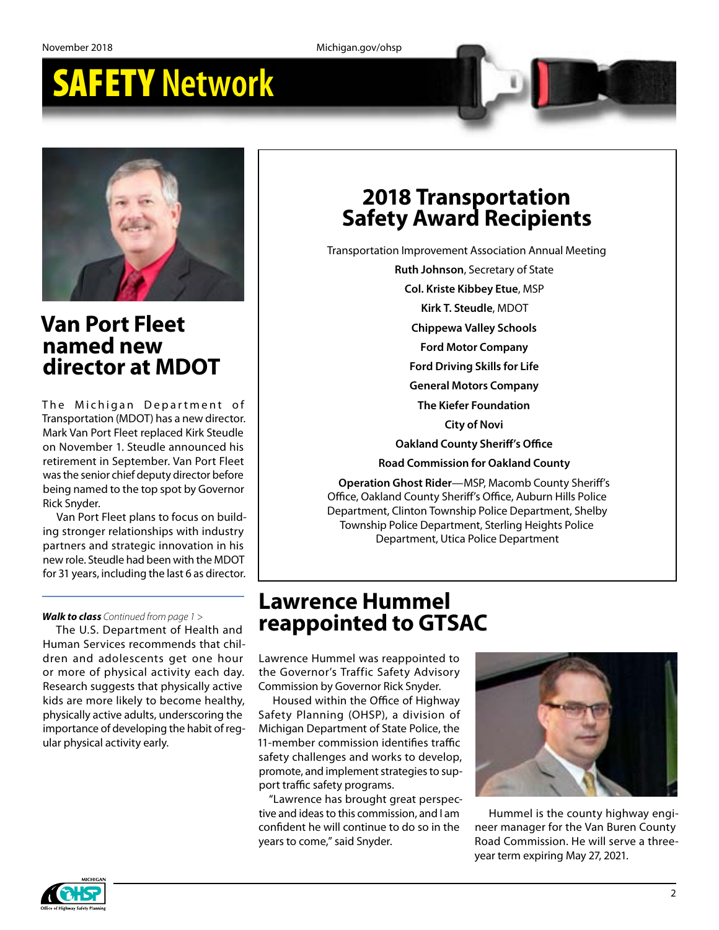

### **Van Port Fleet named new director at MDOT**

The Michigan Department of Transportation (MDOT) has a new director. Mark Van Port Fleet replaced Kirk Steudle on November 1. Steudle announced his retirement in September. Van Port Fleet was the senior chief deputy director before being named to the top spot by Governor Rick Snyder.

Van Port Fleet plans to focus on building stronger relationships with industry partners and strategic innovation in his new role. Steudle had been with the MDOT for 31 years, including the last 6 as director.

### *Walk to class Continued from page 1 >*

The U.S. Department of Health and Human Services recommends that children and adolescents get one hour or more of physical activity each day. Research suggests that physically active kids are more likely to become healthy, physically active adults, underscoring the importance of developing the habit of regular physical activity early.

### **2018 Transportation Safety Award Recipients**

Transportation Improvement Association Annual Meeting

**Ruth Johnson**, Secretary of State

**Col. Kriste Kibbey Etue**, MSP

**Kirk T. Steudle**, MDOT

**Chippewa Valley Schools**

**Ford Motor Company**

- **Ford Driving Skills for Life**
- **General Motors Company**

**The Kiefer Foundation**

**City of Novi**

**Oakland County Sheriff's Office**

**Road Commission for Oakland County**

**Operation Ghost Rider**—MSP, Macomb County Sheriff's Office, Oakland County Sheriff's Office, Auburn Hills Police Department, Clinton Township Police Department, Shelby Township Police Department, Sterling Heights Police Department, Utica Police Department

### **Lawrence Hummel reappointed to GTSAC**

Lawrence Hummel was reappointed to the Governor's Traffic Safety Advisory Commission by Governor Rick Snyder.

Housed within the Office of Highway Safety Planning (OHSP), a division of Michigan Department of State Police, the 11-member commission identifies traffic safety challenges and works to develop, promote, and implement strategies to support traffic safety programs.

"Lawrence has brought great perspective and ideas to this commission, and I am confident he will continue to do so in the years to come," said Snyder.



Hummel is the county highway engineer manager for the Van Buren County Road Commission. He will serve a threeyear term expiring May 27, 2021.

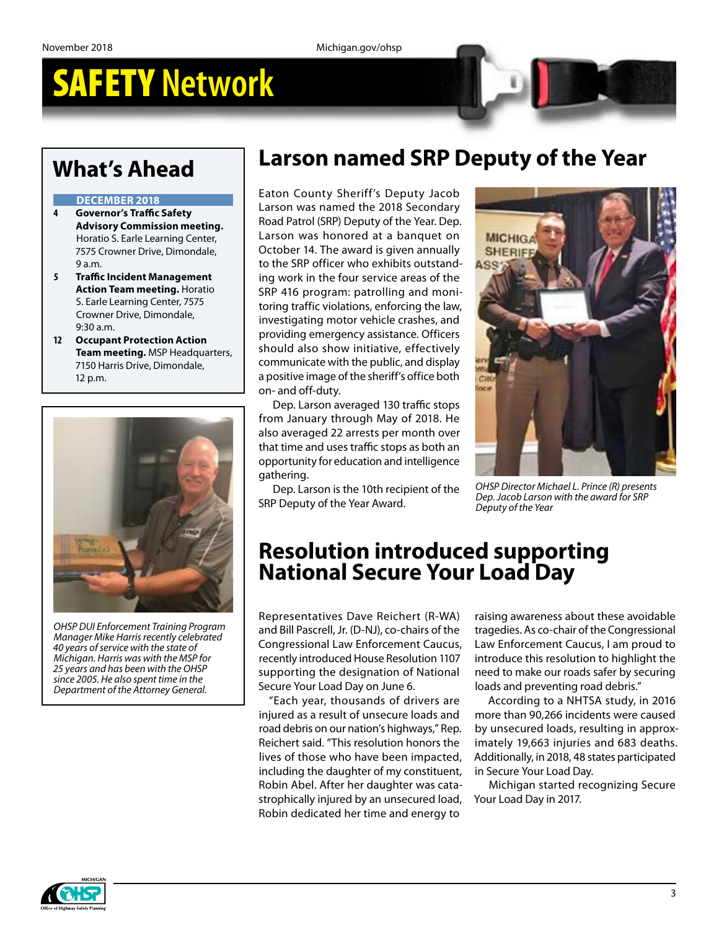## **What's Ahead**

#### **DECEMBER 2018**

- **4 Governor's Traffic Safety Advisory Commission meeting.** Horatio S. Earle Learning Center, 7575 Crowner Drive, Dimondale, 9 a.m.
- **5 Traffic Incident Management Action Team meeting.** Horatio S. Earle Learning Center, 7575 Crowner Drive, Dimondale, 9:30 a.m.
- **12 Occupant Protection Action Team meeting.** MSP Headquarters, 7150 Harris Drive, Dimondale, 12 p.m.



*OHSP DUI Enforcement Training Program Manager Mike Harris recently celebrated 40 years of service with the state of Michigan. Harris was with the MSP for 25 years and has been with the OHSP since 2005. He also spent time in the Department of the Attorney General.*

## **Larson named SRP Deputy of the Year**

Eaton County Sheriff's Deputy Jacob Larson was named the 2018 Secondary Road Patrol (SRP) Deputy of the Year. Dep. Larson was honored at a banquet on October 14. The award is given annually to the SRP officer who exhibits outstanding work in the four service areas of the SRP 416 program: patrolling and monitoring traffic violations, enforcing the law, investigating motor vehicle crashes, and providing emergency assistance. Officers should also show initiative, effectively communicate with the public, and display a positive image of the sheriff's office both on- and off-duty.

Dep. Larson averaged 130 traffic stops from January through May of 2018. He also averaged 22 arrests per month over that time and uses traffic stops as both an opportunity for education and intelligence gathering.

Dep. Larson is the 10th recipient of the SRP Deputy of the Year Award.



*OHSP Director Michael L. Prince (R) presents Dep. Jacob Larson with the award for SRP Deputy of the Year*

## **Resolution introduced supporting National Secure Your Load Day**

Representatives Dave Reichert (R-WA) and Bill Pascrell, Jr. (D-NJ), co-chairs of the Congressional Law Enforcement Caucus, recently introduced [House Resolution 1107](https://na01.safelinks.protection.outlook.com/?url=https%3A%2F%2Freichertforms.house.gov%2Fcomponents%2Fredirect%2Fr.aspx%3FID%3D473882-11840000&data=02%7C01%7C%7C217320c174004eb1532a08d62d58677d%7Cd5fb7087377742ad966a892ef47225d1%7C0%7C0%7C636746255044914637&sdata=9tFWPcpFQSiNclfpE%2BfHAHAQPu3Z04VpgSqUL5C3Ws8%3D&reserved=0) supporting the designation of National Secure Your Load Day on June 6.

"Each year, thousands of drivers are injured as a result of unsecure loads and road debris on our nation's highways," Rep. Reichert said. "This resolution honors the lives of those who have been impacted, including the daughter of my constituent, Robin Abel. After her daughter was catastrophically injured by an unsecured load, Robin dedicated her time and energy to

raising awareness about these avoidable tragedies. As co-chair of the Congressional Law Enforcement Caucus, I am proud to introduce this resolution to highlight the need to make our roads safer by securing loads and preventing road debris."

According to a NHTSA study, in 2016 more than 90,266 incidents were caused by unsecured loads, resulting in approximately 19,663 injuries and 683 deaths. Additionally, in 2018, 48 states participated in Secure Your Load Day.

Michigan started recognizing Secure Your Load Day in 2017.

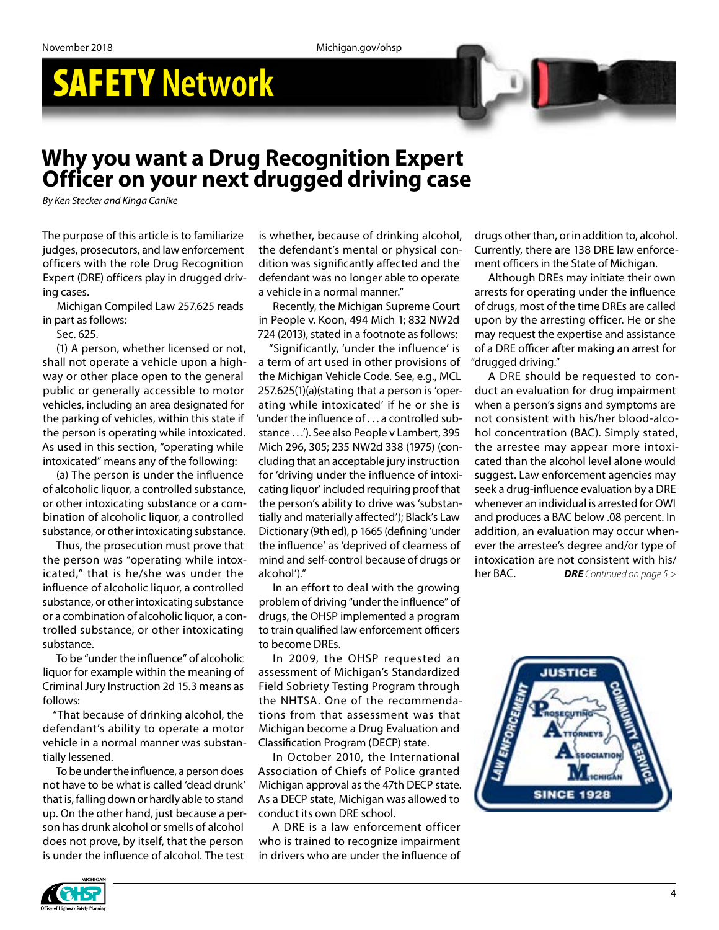# SAFETY **Network**

## **Why you want a Drug Recognition Expert Officer on your next drugged driving case**

*By Ken Stecker and Kinga Canike*

The purpose of this article is to familiarize judges, prosecutors, and law enforcement officers with the role Drug Recognition Expert (DRE) officers play in drugged driving cases.

Michigan Compiled Law 257.625 reads in part as follows:

Sec. 625.

(1) A person, whether licensed or not, shall not operate a vehicle upon a highway or other place open to the general public or generally accessible to motor vehicles, including an area designated for the parking of vehicles, within this state if the person is operating while intoxicated. As used in this section, "operating while intoxicated" means any of the following:

(a) The person is under the influence of alcoholic liquor, a controlled substance, or other intoxicating substance or a combination of alcoholic liquor, a controlled substance, or other intoxicating substance.

Thus, the prosecution must prove that the person was "operating while intoxicated," that is he/she was under the influence of alcoholic liquor, a controlled substance, or other intoxicating substance or a combination of alcoholic liquor, a controlled substance, or other intoxicating substance.

To be "under the influence" of alcoholic liquor for example within the meaning of Criminal Jury Instruction 2d 15.3 means as follows:

"That because of drinking alcohol, the defendant's ability to operate a motor vehicle in a normal manner was substantially lessened.

To be under the influence, a person does not have to be what is called 'dead drunk' that is, falling down or hardly able to stand up. On the other hand, just because a person has drunk alcohol or smells of alcohol does not prove, by itself, that the person is under the influence of alcohol. The test

is whether, because of drinking alcohol, the defendant's mental or physical condition was significantly affected and the defendant was no longer able to operate a vehicle in a normal manner."

Recently, the Michigan Supreme Court in People v. Koon, 494 Mich 1; 832 NW2d 724 (2013), stated in a footnote as follows:

"Significantly, 'under the influence' is a term of art used in other provisions of the Michigan Vehicle Code. See, e.g., MCL 257.625(1)(a)(stating that a person is 'operating while intoxicated' if he or she is 'under the influence of . . . a controlled substance . . .'). See also People v Lambert, 395 Mich 296, 305; 235 NW2d 338 (1975) (concluding that an acceptable jury instruction for 'driving under the influence of intoxicating liquor' included requiring proof that the person's ability to drive was 'substantially and materially affected'); Black's Law Dictionary (9th ed), p 1665 (defining 'under the influence' as 'deprived of clearness of mind and self-control because of drugs or alcohol')."

In an effort to deal with the growing problem of driving "under the influence" of drugs, the OHSP implemented a program to train qualified law enforcement officers to become DREs.

In 2009, the OHSP requested an assessment of Michigan's Standardized Field Sobriety Testing Program through the NHTSA. One of the recommendations from that assessment was that Michigan become a Drug Evaluation and Classification Program (DECP) state.

In October 2010, the International Association of Chiefs of Police granted Michigan approval as the 47th DECP state. As a DECP state, Michigan was allowed to conduct its own DRE school.

A DRE is a law enforcement officer who is trained to recognize impairment in drivers who are under the influence of drugs other than, or in addition to, alcohol. Currently, there are 138 DRE law enforcement officers in the State of Michigan.

Although DREs may initiate their own arrests for operating under the influence of drugs, most of the time DREs are called upon by the arresting officer. He or she may request the expertise and assistance of a DRE officer after making an arrest for "drugged driving."

*DRE Continued on page 5 >* A DRE should be requested to conduct an evaluation for drug impairment when a person's signs and symptoms are not consistent with his/her blood-alcohol concentration (BAC). Simply stated, the arrestee may appear more intoxicated than the alcohol level alone would suggest. Law enforcement agencies may seek a drug-influence evaluation by a DRE whenever an individual is arrested for OWI and produces a BAC below .08 percent. In addition, an evaluation may occur whenever the arrestee's degree and/or type of intoxication are not consistent with his/ her BAC.



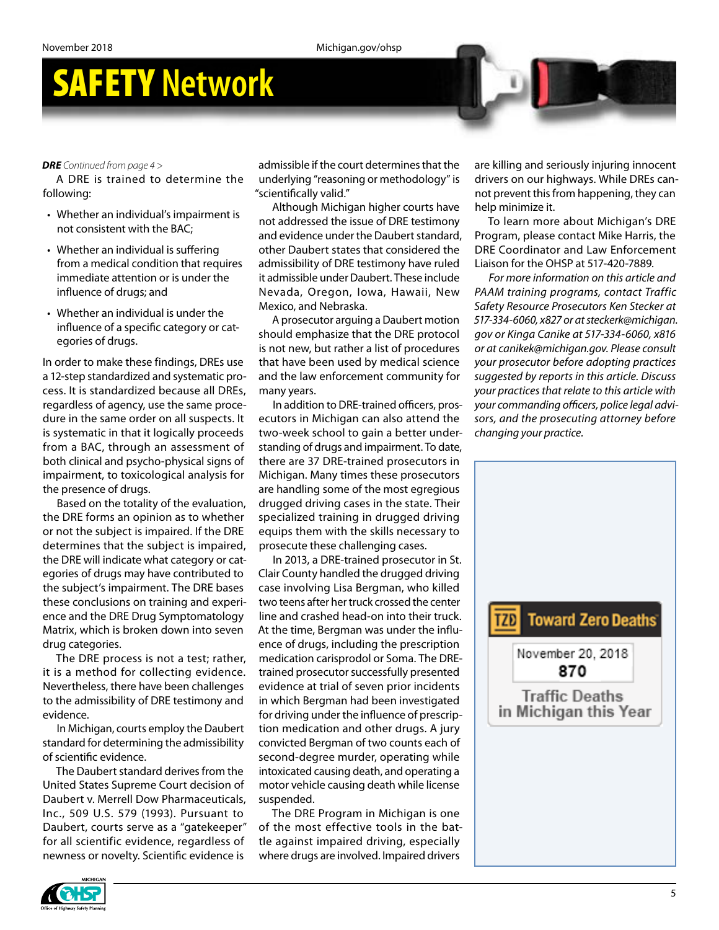#### *DRE Continued from page 4 >*

A DRE is trained to determine the following:

- Whether an individual's impairment is not consistent with the BAC;
- Whether an individual is suffering from a medical condition that requires immediate attention or is under the influence of drugs; and
- Whether an individual is under the influence of a specific category or categories of drugs.

In order to make these findings, DREs use a 12-step standardized and systematic process. It is standardized because all DREs, regardless of agency, use the same procedure in the same order on all suspects. It is systematic in that it logically proceeds from a BAC, through an assessment of both clinical and psycho-physical signs of impairment, to toxicological analysis for the presence of drugs.

Based on the totality of the evaluation, the DRE forms an opinion as to whether or not the subject is impaired. If the DRE determines that the subject is impaired, the DRE will indicate what category or categories of drugs may have contributed to the subject's impairment. The DRE bases these conclusions on training and experience and the DRE Drug Symptomatology Matrix, which is broken down into seven drug categories.

The DRE process is not a test; rather, it is a method for collecting evidence. Nevertheless, there have been challenges to the admissibility of DRE testimony and evidence.

In Michigan, courts employ the Daubert standard for determining the admissibility of scientific evidence.

The Daubert standard derives from the United States Supreme Court decision of Daubert v. Merrell Dow Pharmaceuticals, Inc., 509 U.S. 579 (1993). Pursuant to Daubert, courts serve as a "gatekeeper" for all scientific evidence, regardless of newness or novelty. Scientific evidence is

admissible if the court determines that the underlying "reasoning or methodology" is "scientifically valid."

Although Michigan higher courts have not addressed the issue of DRE testimony and evidence under the Daubert standard, other Daubert states that considered the admissibility of DRE testimony have ruled it admissible under Daubert. These include Nevada, Oregon, Iowa, Hawaii, New Mexico, and Nebraska.

A prosecutor arguing a Daubert motion should emphasize that the DRE protocol is not new, but rather a list of procedures that have been used by medical science and the law enforcement community for many years.

In addition to DRE-trained officers, prosecutors in Michigan can also attend the two-week school to gain a better understanding of drugs and impairment. To date, there are 37 DRE-trained prosecutors in Michigan. Many times these prosecutors are handling some of the most egregious drugged driving cases in the state. Their specialized training in drugged driving equips them with the skills necessary to prosecute these challenging cases.

In 2013, a DRE-trained prosecutor in St. Clair County handled the drugged driving case involving Lisa Bergman, who killed two teens after her truck crossed the center line and crashed head-on into their truck. At the time, Bergman was under the influence of drugs, including the prescription medication carisprodol or Soma. The DREtrained prosecutor successfully presented evidence at trial of seven prior incidents in which Bergman had been investigated for driving under the influence of prescription medication and other drugs. A jury convicted Bergman of two counts each of second-degree murder, operating while intoxicated causing death, and operating a motor vehicle causing death while license suspended.

The DRE Program in Michigan is one of the most effective tools in the battle against impaired driving, especially where drugs are involved. Impaired drivers

are killing and seriously injuring innocent drivers on our highways. While DREs cannot prevent this from happening, they can help minimize it.

To learn more about Michigan's DRE Program, please contact Mike Harris, the DRE Coordinator and Law Enforcement Liaison for the OHSP at 517-420-7889.

*For more information on this article and PAAM training programs, contact Traffic Safety Resource Prosecutors Ken Stecker at 517-334-6060, x827 or at [steckerk@michigan.](mailto:steckerk@michigan.gov) [gov](mailto:steckerk@michigan.gov) or Kinga Canike at 517-334-6060, x816 or at [canikek@michigan.gov](mailto:canikek@michigan.gov). Please consult your prosecutor before adopting practices suggested by reports in this article. Discuss your practices that relate to this article with your commanding officers, police legal advisors, and the prosecuting attorney before changing your practice.*



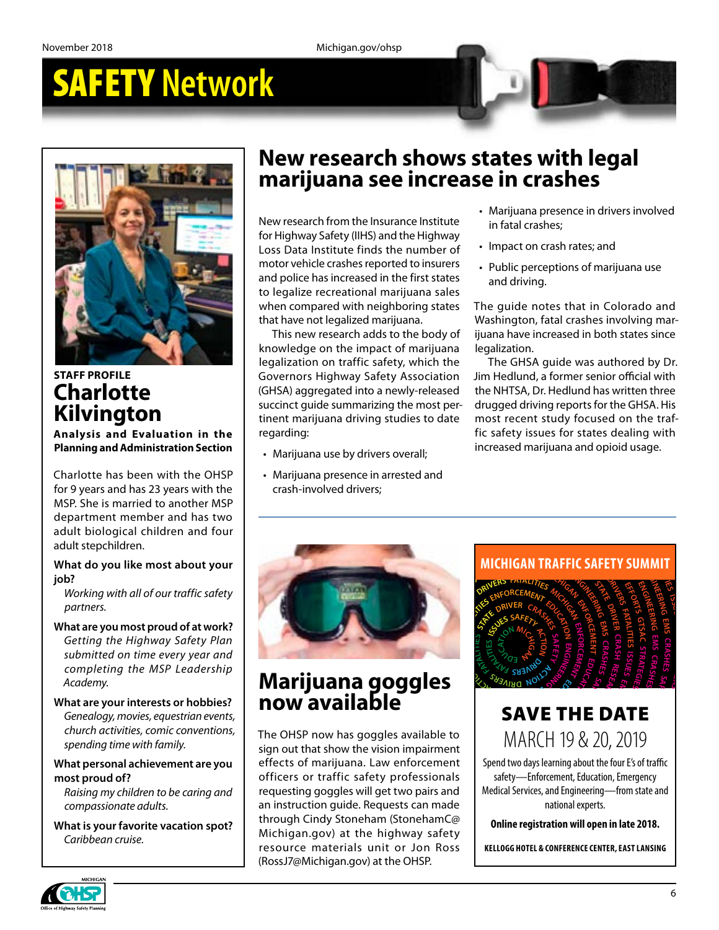

### **STAFF PROFILE Charlotte Kilvington**

**Analysis and Evaluation in the Planning and Administration Section**

Charlotte has been with the OHSP for 9 years and has 23 years with the MSP. She is married to another MSP department member and has two adult biological children and four adult stepchildren.

### **What do you like most about your job?**

*Working with all of our traffic safety partners.*

**What are you most proud of at work?** *Getting the Highway Safety Plan submitted on time every year and completing the MSP Leadership Academy.*

**What are your interests or hobbies?** *Genealogy, movies, equestrian events, church activities, comic conventions, spending time with family.*

### **What personal achievement are you most proud of?**

*Raising my children to be caring and compassionate adults.*

**What is your favorite vacation spot?** *Caribbean cruise.*

## **New research shows states with legal marijuana see increase in crashes**

New research from the Insurance Institute for Highway Safety (IIHS) and the Highway Loss Data Institute finds the number of motor vehicle crashes reported to insurers and police has increased in the first states to legalize recreational marijuana sales when compared with neighboring states that have not legalized marijuana.

A) aggregated into a newly-released<br>
A) aggregated into a newly-released the NH<br>
nct guide summarizing the most per-<br>
or drugge<br>
the NH<br>
marijuana driving studies to date most reference in the most<br>
reling:<br>
increase<br>
arij This new research adds to the body of knowledge on the impact of marijuana legalization on traffic safety, which the Governors Highway Safety Association (GHSA) aggregated into a newly-released succinct guide summarizing the most pertinent marijuana driving studies to date regarding:

- Marijuana use by drivers overall;
- n arrested and<br>rs;<br><br><br><br><br><br><br><br><br><br><br><br><br><br><br><br><br><br><br><br><br><br><br><br><br> vers overall;<br>in arrested and<br>rs; by drivers overall;<br>
increased marijuana and opioid usage<br>
ence in arrested and<br>
drivers;<br>
and the set of the set of the set of the set of the set of the set of the set of the set of the set of the set of the set of the se • Marijuana presence in arrested and crash-involved drivers;
- Marijuana presence in drivers involved in fatal crashes;
- Impact on crash rates; and
- Public perceptions of marijuana use and driving.

The guide notes that in Colorado and Washington, fatal crashes involving marijuana have increased in both states since legalization.

fic safety issues for states dealing with<br>increased marijuana and opioid usage.<br>oresence in arrested and<br>ved drivers; uana driving studies to date most recent study focused on the traf-<br>fic safety issues for states dealing with<br>increased marijuana and opioid usage.<br>a presence in arrested and<br>plved drivers; quide summarizing the most per-<br>
rijuana driving studies to date most recent study focused on the traf-<br>
fic safety issues for states dealing with<br>
ma use by drivers overall;<br>
ma presence in arrested and<br>
wolved drivers; relation and analysis of the NTH3A, DETICAL MISS which there is the summarizing the most per-<br>transition diving studies to date most recent study focused on the traf-<br>ing:<br>ijuana use by drivers overall;<br>ijuana presence in SA, Dr. Hedlund has written three<br>driving reports for the GHSA. His<br>cent study focused on the traf-<br>y issues for states dealing with<br>d marijuana and opioid usage. The GHSA guide was authored by Dr. Jim Hedlund, a former senior official with the NHTSA, Dr. Hedlund has written three drugged driving reports for the GHSA. His most recent study focused on the traffic safety issues for states dealing with increased marijuana and opioid usage.

**<sup>C</sup>RASHE<sup>S</sup> <sup>S</sup>AFET<sup>Y</sup> <sup>A</sup>CT<sup>I</sup>O<sup>N</sup> <sup>D</sup>R<sup>I</sup>VER<sup>S</sup>**

**<sup>S</sup>AFET<sup>Y</sup> <sup>T</sup>RAFFI<sup>C</sup> <sup>M</sup>ICHIGA<sup>N</sup> <sup>E</sup>NFORCEMEN<sup>T</sup>**



#### **<sup>S</sup><sup>A</sup> <sup>H</sup>E<sup>S</sup> <sup>S</sup>AFET<sup>Y</sup> <sup>U</sup><sup>S</sup> <sup>E</sup><sup>S</sup> M<sup>E</sup> PHAS**  $\sum_{i=1}^{n}$ **SAFETY DR VI ER ACT Marijuana goggles now available**

 $\mathbf{b}$ **E**<br>B<sup>a</sup><br>B<sup>a</sup><br>B<sup>a</sup> **R**<br> **M E**<br> **M E**<br> **M E**<br> **M P**<br> **M P**<br> **M P**<br> **M P**<br> **M P E**<br> **R**EFECTS of marijuana. Law enforcement<br>
afficers ar traffic safety professionals **<sup>N</sup><sup>E</sup> <sup>T</sup> <sup>F</sup><sup>I</sup> <sup>Y</sup>** The OHSP now has goggles available to<br>sign out that show the vision impairment<br>effects of marijuana. Law enforcement<br>officers or traffic safety professionals **R**<br> **R** The Constitution of traffic safety professionals<br> **R** The Constitution of the Constitution of the Constitution of the Constitution of the Constitution of the Constitution of the Constitution of the Constitution of rijuana. Law enforcement<br>affic safety professionals<br>ggles will get two pairs and<br>guide. Requests can made **E**<br>**p**: gogg  $\frac{1}{2}$  **B** an instruction guide. Requests can made requesting goggles will get two pairs and<br>an instruction guide. Requests can made<br>through Cindy Stoneham (StonehamC@<br>Michigan.gov) at the highway safety **NOW AVAIIADIE**<br>The OHSP now has goggles available to<br>sign out that show the vision impairment **OR DA <sup>E</sup><sup>I</sup> <sup>R</sup> <sup>D</sup> <sup>S</sup> <sup>T</sup><sup>A</sup> <sup>A</sup> <sup>R</sup><sup>T</sup> <sup>F</sup><sup>A</sup> <sup>I</sup> <sup>F</sup> <sup>C</sup> <sup>R</sup><sup>T</sup> <sup>A</sup>N<sup>S</sup> <sup>O</sup><sup>P</sup> <sup>W</sup>E<sup>T</sup> <sup>D</sup><sup>I</sup> <sup>E</sup> <sup>T</sup><sup>S</sup> <sup>T</sup><sup>A</sup> <sup>E</sup> <sup>D</sup><sup>I</sup> NE** (RossJ7@Michigan.gov) at the OHSP. **<sup>I</sup> <sup>T</sup> <sup>Y</sup><sup>F</sup> <sup>A</sup><sup>R</sup> <sup>M</sup><sup>S</sup> <sup>E</sup><sup>F</sup> <sup>O</sup><sup>F</sup>** resource materials unit or Jon Ross **OR AD STRATEG EI S MANAGEMENT <sup>S</sup>T<sup>G</sup> <sup>C</sup><sup>A</sup> <sup>T</sup><sup>S</sup> <sup>A</sup><sup>R</sup> <sup>E</sup><sup>T</sup>** ers or manjaama. Eaw or<br>ers or traffic safety presting goggles will get two<br>truction guide. Request<br>gh Cindy Stoneham (St<br>igan.gov) at the high<br>prese materials unit of<br>7@Michigan.gov) at the requesting goggles will get two pairs and Michigan.gov) at the highway safety



### SAVE THE DATE **SAVE THE DATE**<br>MARCH 19 & 20, 2019 **S**<br>P<br>C<sup>LL 10, 0, 0,</sup> **<sup>E</sup>MPHA<sup>S</sup> <sup>S</sup><sup>I</sup> <sup>A</sup>REA<sup>S</sup> <sup>D</sup><sup>R</sup> <sup>V</sup><sup>I</sup> <sup>N</sup><sup>I</sup> <sup>G</sup> <sup>A</sup>T<sup>S</sup> D <sup>E</sup><sup>T</sup> GOALS SAFETY** RCH 19 & 20, 20<br>ays learning about the four E's<br>Enforcement, Education, Emer **ACT OI N D D E**

**SI**

**RT**

**R** Spend two days learning about the four E's of traffic safety—Enforcement, Education, Emergency **E D<sup>I</sup> WETAT** Medical Services, and Engineering—from state and<br>
mational experts. **national experts.**  $\mathbf{S}$ **A Letter**  $\mathbf{S}$ **<sup>A</sup><sup>T</sup> <sup>L</sup> <sup>T</sup><sup>I</sup> <sup>E</sup><sup>I</sup> <sup>S</sup> <sup>S</sup><sup>I</sup> <sup>U</sup><sup>S</sup> <sup>S</sup><sup>E</sup> U<sup>J</sup> <sup>N</sup><sup>I</sup> <sup>D</sup><sup>R</sup> <sup>V</sup><sup>I</sup> <sup>E</sup>RROCES<sup>S</sup> <sup>N</sup><sup>I</sup> <sup>U</sup><sup>J</sup> <sup>I</sup> <sup>R</sup> S<sup>E</sup> DR VI ERS <sup>R</sup>ESEARC<sup>H</sup> <sup>P</sup>ROCES<sup>S</sup> <sup>N</sup><sup>I</sup> <sup>U</sup><sup>J</sup> <sup>I</sup> <sup>R</sup> <sup>S</sup><sup>E</sup> <sup>A</sup><sup>D</sup> <sup>A</sup><sup>T</sup> AR<sup>T</sup> <sup>E</sup>M<sup>S</sup> <sup>C</sup>RASHE<sup>S</sup> <sup>S</sup>AFET<sup>Y</sup> <sup>C</sup><sup>A</sup> <sup>I</sup> <sup>T</sup> N<sup>O</sup> <sup>S</sup> <sup>N</sup>AR<sup>T</sup> <sup>C</sup>I <sup>F</sup>F<sup>A</sup> <sup>O</sup><sup>P</sup> <sup>A</sup>T<sup>R</sup> AF** ATTLE<br>
, 2019<br>
four E's of traffic<br>
<sub>1</sub>, Emergency<br>
—from state and<br> **in late 2018. <sup>E</sup>MPHA<sup>S</sup> <sup>S</sup><sup>I</sup> <sup>A</sup>REA<sup>S</sup> <sup>D</sup><sup>R</sup> <sup>V</sup><sup>I</sup> <sup>N</sup><sup>I</sup> <sup>G</sup> <sup>S</sup> <sup>A</sup><sup>T</sup> E<sup>T</sup> PROGRAMS EFFORTS GTSAC ST AR <br><b>LANSING DR VI NI G STATE DR VI ER CRA HS**

**Online registration will open in late 2018. 8**<br> $\frac{1}{2}$ 

afety<br>Ross KELLOGG HOTEL & CONFERENCE CENTER, EAST LANSING

**<sup>O</sup><sup>G</sup> <sup>L</sup><sup>A</sup> <sup>A</sup> <sup>S</sup> <sup>A</sup>E<sup>R</sup> VI <sup>T</sup>C<sup>A</sup>**

**<sup>R</sup><sup>T</sup> <sup>N</sup><sup>A</sup> <sup>P</sup><sup>S</sup> <sup>R</sup> <sup>O</sup> <sup>A</sup><sup>T</sup> <sup>O</sup><sup>I</sup> <sup>T</sup> <sup>E</sup><sup>T</sup> <sup>N</sup> P <sup>S</sup> <sup>M</sup><sup>A</sup>**

**ESER**

**<sup>U</sup><sup>J</sup> <sup>N</sup><sup>I</sup> <sup>S</sup>SECORP <sup>H</sup>CR<sup>A</sup>**

**<sup>A</sup>T<sup>S</sup> <sup>E</sup>LC<sup>I</sup> <sup>H</sup>E<sup>V</sup> <sup>S</sup>E<sup>I</sup> <sup>T</sup><sup>I</sup>**

**<sup>O</sup>P<sup>S</sup> <sup>A</sup>T<sup>R</sup> <sup>O</sup><sup>I</sup> <sup>T</sup> <sup>N</sup> <sup>E</sup><sup>T</sup> <sup>M</sup><sup>A</sup> <sup>S</sup> <sup>R</sup><sup>P</sup>**



**<sup>R</sup><sup>E</sup> <sup>E</sup><sup>S</sup> <sup>R</sup><sup>A</sup> H<sup>C</sup>**

**DR**

**ACT OI N**

**CRASH**

**SAFETY**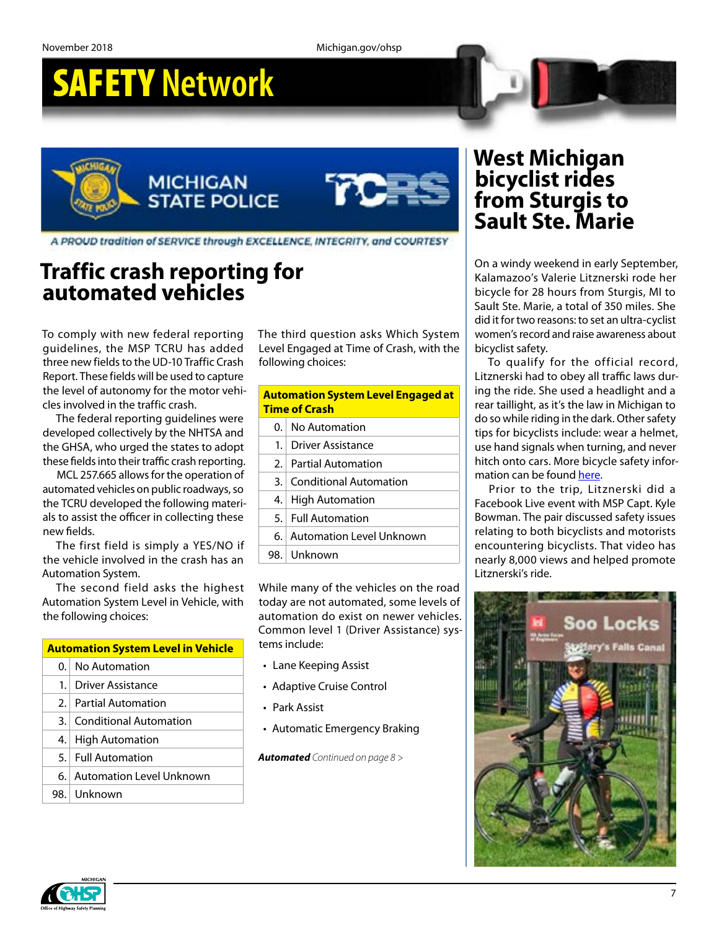# SAFETY **Network**

**MICHIGAN STATE POLICE** 



A PROUD tradition of SERVICE through EXCELLENCE, INTECRITY, and COURTESY

## **Traffic crash reporting for automated vehicles**

To comply with new federal reporting guidelines, the MSP TCRU has added three new fields to the UD-10 Traffic Crash Report. These fields will be used to capture the level of autonomy for the motor vehicles involved in the traffic crash.

The federal reporting guidelines were developed collectively by the NHTSA and the GHSA, who urged the states to adopt these fields into their traffic crash reporting.

MCL 257.665 allows for the operation of automated vehicles on public roadways, so the TCRU developed the following materials to assist the officer in collecting these new fields.

The first field is simply a YES/NO if the vehicle involved in the crash has an Automation System.

The second field asks the highest Automation System Level in Vehicle, with the following choices:

### **Automation System Level in Vehicle** 0. No Automation

- 1. Driver Assistance
- 2. Partial Automation
- 3. Conditional Automation
- 4. High Automation
- 5. Full Automation
- 
- 6. Automation Level Unknown
- 98. Unknown

The third question asks Which System Level Engaged at Time of Crash, with the following choices:

| <b>Automation System Level Engaged at</b><br><b>Time of Crash</b> |                               |  |  |  |  |
|-------------------------------------------------------------------|-------------------------------|--|--|--|--|
| 0.                                                                | No Automation                 |  |  |  |  |
| 1.1                                                               | Driver Assistance             |  |  |  |  |
| 2.1                                                               | <b>Partial Automation</b>     |  |  |  |  |
| 3.                                                                | <b>Conditional Automation</b> |  |  |  |  |
| 4.                                                                | <b>High Automation</b>        |  |  |  |  |
| 5. I                                                              | <b>Full Automation</b>        |  |  |  |  |
| б. І                                                              | Automation Level Unknown      |  |  |  |  |
| 98.                                                               | Unknown                       |  |  |  |  |

While many of the vehicles on the road today are not automated, some levels of automation do exist on newer vehicles. Common level 1 (Driver Assistance) systems include:

- Lane Keeping Assist
- Adaptive Cruise Control
- Park Assist
- Automatic Emergency Braking

*Automated Continued on page 8 >*

### **West Michigan bicyclist rides from Sturgis to Sault Ste. Marie**

On a windy weekend in early September, Kalamazoo's Valerie Litznerski rode her bicycle for 28 hours from Sturgis, MI to Sault Ste. Marie, a total of 350 miles. She did it for two reasons: to set an ultra-cyclist women's record and raise awareness about bicyclist safety.

To qualify for the official record, Litznerski had to obey all traffic laws during the ride. She used a headlight and a rear taillight, as it's the law in Michigan to do so while riding in the dark. Other safety tips for bicyclists include: wear a helmet, use hand signals when turning, and never hitch onto cars. More bicycle safety information can be found [here](https://www.michigan.gov/msp/0,4643,7-123-72297_64773_22760-356422--,00.html).

Prior to the trip, Litznerski did a Facebook Live event with MSP Capt. Kyle Bowman. The pair discussed safety issues relating to both bicyclists and motorists encountering bicyclists. That video has nearly 8,000 views and helped promote Litznerski's ride.